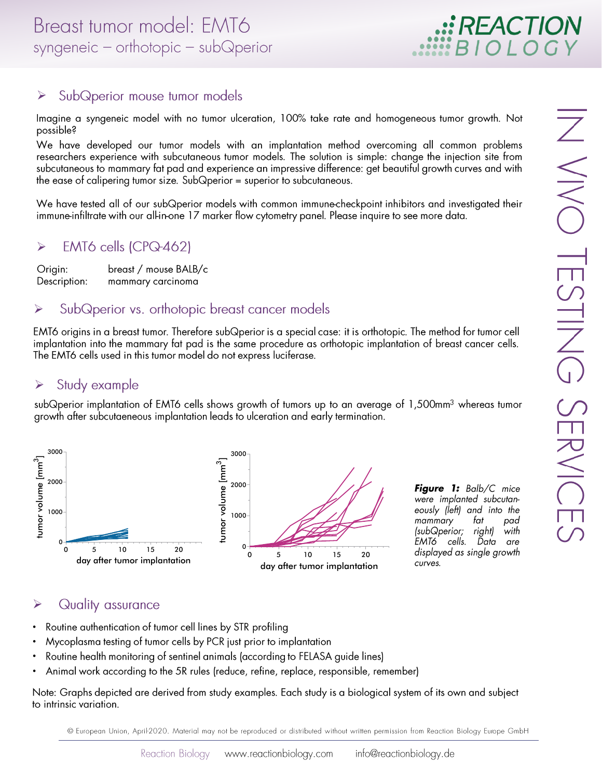# $\blacktriangleright$ SubQperior mouse tumor models

Imagine a syngeneic model with no tumor ulceration, 100% take rate and homogeneous tumor growth. Not possible?

>
Impowersalk Wim
>
ODE
>
METHE
>
N<br>DDE
>
METHE We have developed our tumor models with an implantation method overcoming all common problems researchers experience with subcutaneous tumor models. The solution is simple: change the injection site from subcutaneous to mammary fat pad and experience an impressive difference: get beautiful growth curves and with the ease of calipering tumor size. Sub $\Omega$ perior = superior to subcutaneous.

We have tested all of our subQperior models with common immune-checkpoint inhibitors and investigated their immune-infiltrate with our all-in-one 17 marker flow cytometry panel. Please inquire to see more data.



tat pad right) with

- 
- 
- 
- 

Note: Graphs depicted are derived from study examples. Each study is a biological system of its own and subject to intrinsic variation.

© European Union, April-2020. Material may not be reproduced or distributed without written permission from Reaction Biology Europe GmbH

EACTIO